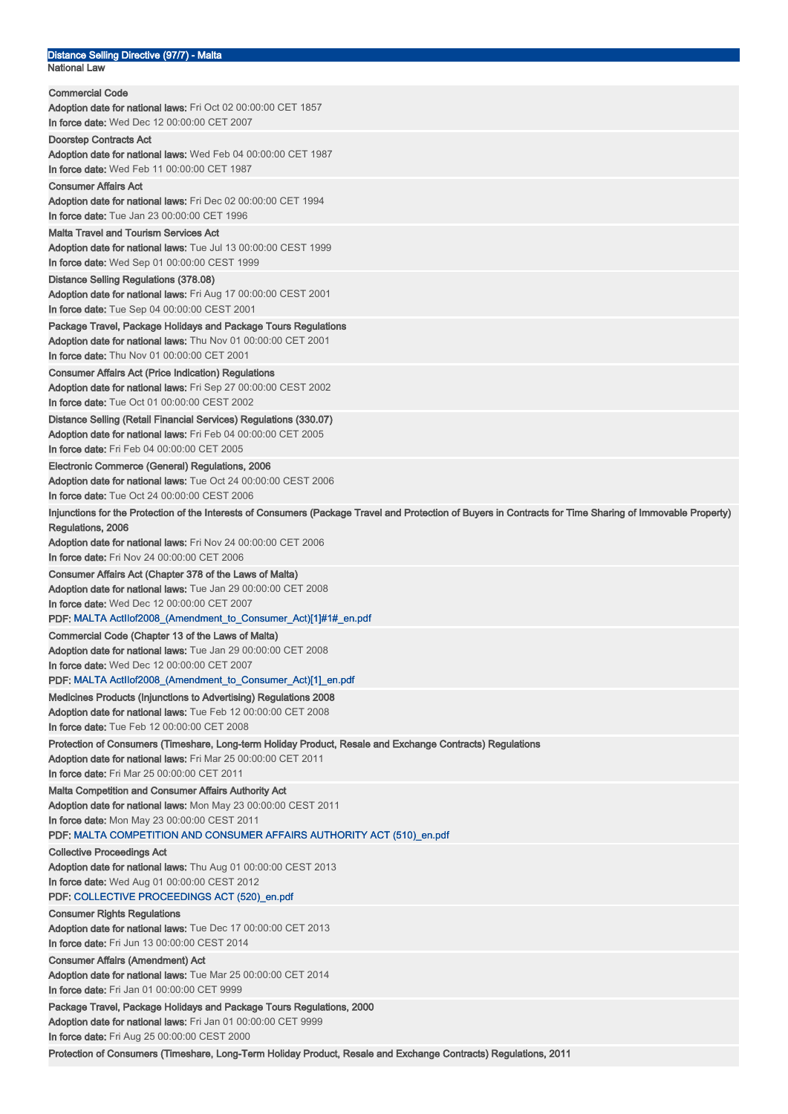|                     | Distance Selling Directive (97/7) - Malta |
|---------------------|-------------------------------------------|
| <b>National Law</b> |                                           |

| <b>Commercial Code</b>                                                                                                                                                           |
|----------------------------------------------------------------------------------------------------------------------------------------------------------------------------------|
| <b>Adoption date for national laws:</b> Fri Oct 02 00:00:00 CET 1857                                                                                                             |
| In force date: Wed Dec 12 00:00:00 CET 2007                                                                                                                                      |
| <b>Doorstep Contracts Act</b><br>Adoption date for national laws: Wed Feb 04 00:00:00 CET 1987<br>In force date: Wed Feb 11 00:00:00 CET 1987                                    |
| <b>Consumer Affairs Act</b>                                                                                                                                                      |
| Adoption date for national laws: Fri Dec 02 00:00:00 CET 1994<br>In force date: Tue Jan 23 00:00:00 CET 1996                                                                     |
| <b>Malta Travel and Tourism Services Act</b>                                                                                                                                     |
| Adoption date for national laws: Tue Jul 13 00:00:00 CEST 1999                                                                                                                   |
| In force date: Wed Sep 01 00:00:00 CEST 1999                                                                                                                                     |
| Distance Selling Regulations (378.08)<br><b>Adoption date for national laws:</b> Fri Aug 17 00:00:00 CEST 2001<br>In force date: Tue Sep 04 00:00:00 CEST 2001                   |
| Package Travel, Package Holidays and Package Tours Regulations                                                                                                                   |
| Adoption date for national laws: Thu Nov 01 00:00:00 CET 2001<br>In force date: Thu Nov 01 00:00:00 CET 2001                                                                     |
| <b>Consumer Affairs Act (Price Indication) Regulations</b>                                                                                                                       |
| Adoption date for national laws: Fri Sep 27 00:00:00 CEST 2002<br>In force date: Tue Oct 01 00:00:00 CEST 2002                                                                   |
| Distance Selling (Retail Financial Services) Regulations (330.07)                                                                                                                |
| Adoption date for national laws: Fri Feb 04 00:00:00 CET 2005<br>In force date: Fri Feb 04 00:00:00 CET 2005                                                                     |
|                                                                                                                                                                                  |
| Electronic Commerce (General) Regulations, 2006<br>Adoption date for national laws: Tue Oct 24 00:00:00 CEST 2006<br>In force date: Tue Oct 24 00:00:00 CEST 2006                |
| Injunctions for the Protection of the Interests of Consumers (Package Travel and Protection of Buyers in Contracts for Time Sharing of Immovable Property)                       |
| Regulations, 2006                                                                                                                                                                |
| Adoption date for national laws: Fri Nov 24 00:00:00 CET 2006                                                                                                                    |
| In force date: Fri Nov 24 00:00:00 CET 2006                                                                                                                                      |
| Consumer Affairs Act (Chapter 378 of the Laws of Malta)                                                                                                                          |
| <b>Adoption date for national laws:</b> Tue Jan 29 00:00:00 CET 2008                                                                                                             |
| In force date: Wed Dec 12 00:00:00 CET 2007                                                                                                                                      |
| PDF: MALTA Actilof2008_(Amendment_to_Consumer_Act)[1]#1#_en.pdf                                                                                                                  |
| Commercial Code (Chapter 13 of the Laws of Malta)                                                                                                                                |
| Adoption date for national laws: Tue Jan 29 00:00:00 CET 2008                                                                                                                    |
| <b>In force date:</b> Wed Dec 12 00:00:00 CET 2007<br>PDF: MALTA Actllof2008_(Amendment_to_Consumer_Act)[1]_en.pdf                                                               |
|                                                                                                                                                                                  |
| Medicines Products (Injunctions to Advertising) Regulations 2008<br>Adoption date for national laws: Tue Feb 12 00:00:00 CET 2008<br>In force date: Tue Feb 12 00:00:00 CET 2008 |
| Protection of Consumers (Timeshare, Long-term Holiday Product, Resale and Exchange Contracts) Regulations                                                                        |
| Adoption date for national laws: Fri Mar 25 00:00:00 CET 2011                                                                                                                    |
| In force date: Fri Mar 25 00:00:00 CET 2011                                                                                                                                      |
| <b>Malta Competition and Consumer Affairs Authority Act</b><br>Adoption date for national laws: Mon May 23 00:00:00 CEST 2011<br>In force date: Mon May 23 00:00:00 CEST 2011    |
| PDF: MALTA COMPETITION AND CONSUMER AFFAIRS AUTHORITY ACT (510)_en.pdf                                                                                                           |
| <b>Collective Proceedings Act</b>                                                                                                                                                |
| Adoption date for national laws: Thu Aug 01 00:00:00 CEST 2013                                                                                                                   |
| In force date: Wed Aug 01 00:00:00 CEST 2012<br>PDF: COLLECTIVE PROCEEDINGS ACT (520)_en.pdf                                                                                     |
| <b>Consumer Rights Regulations</b>                                                                                                                                               |
| Adoption date for national laws: Tue Dec 17 00:00:00 CET 2013<br>In force date: Fri Jun 13 00:00:00 CEST 2014                                                                    |
|                                                                                                                                                                                  |
| <b>Consumer Affairs (Amendment) Act</b><br>Adoption date for national laws: Tue Mar 25 00:00:00 CET 2014                                                                         |
| In force date: Fri Jan 01 00:00:00 CET 9999                                                                                                                                      |
| Package Travel, Package Holidays and Package Tours Regulations, 2000                                                                                                             |
| Adoption date for national laws: Fri Jan 01 00:00:00 CET 9999                                                                                                                    |
| In force date: Fri Aug 25 00:00:00 CEST 2000                                                                                                                                     |
| Protection of Consumers (Timeshare, Long-Term Holiday Product, Resale and Exchange Contracts) Regulations, 2011                                                                  |
|                                                                                                                                                                                  |